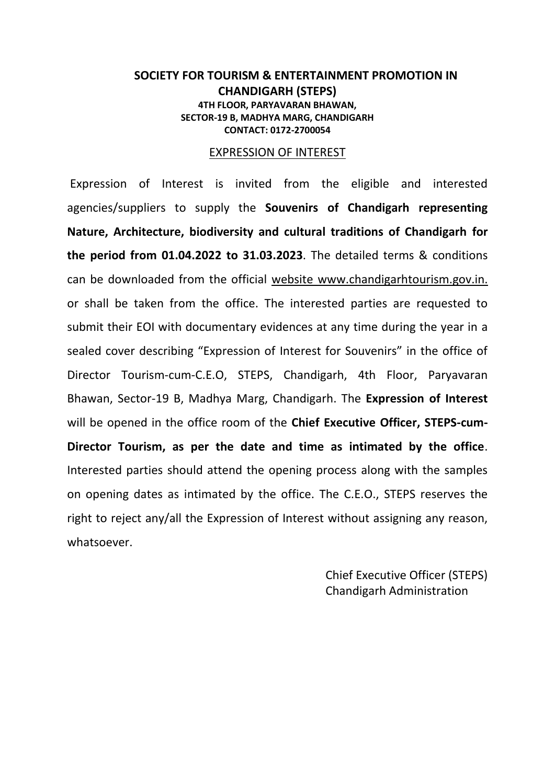#### **SOCIETY FOR TOURISM & ENTERTAINMENT PROMOTION IN CHANDIGARH (STEPS) 4TH FLOOR, PARYAVARAN BHAWAN, SECTOR-19 B, MADHYA MARG, CHANDIGARH CONTACT: 0172-2700054**

#### EXPRESSION OF INTEREST

Expression of Interest is invited from the eligible and interested agencies/suppliers to supply the **Souvenirs of Chandigarh representing Nature, Architecture, biodiversity and cultural traditions of Chandigarh for the period from 01.04.2022 to 31.03.2023**. The detailed terms & conditions can be downloaded from the official website www.chandigarhtourism.gov.in. or shall be taken from the office. The interested parties are requested to submit their EOI with documentary evidences at any time during the year in a sealed cover describing "Expression of Interest for Souvenirs" in the office of Director Tourism-cum-C.E.O, STEPS, Chandigarh, 4th Floor, Paryavaran Bhawan, Sector-19 B, Madhya Marg, Chandigarh. The **Expression of Interest** will be opened in the office room of the **Chief Executive Officer, STEPS-cum-Director Tourism, as per the date and time as intimated by the office**. Interested parties should attend the opening process along with the samples on opening dates as intimated by the office. The C.E.O., STEPS reserves the right to reject any/all the Expression of Interest without assigning any reason, whatsoever.

> Chief Executive Officer (STEPS) Chandigarh Administration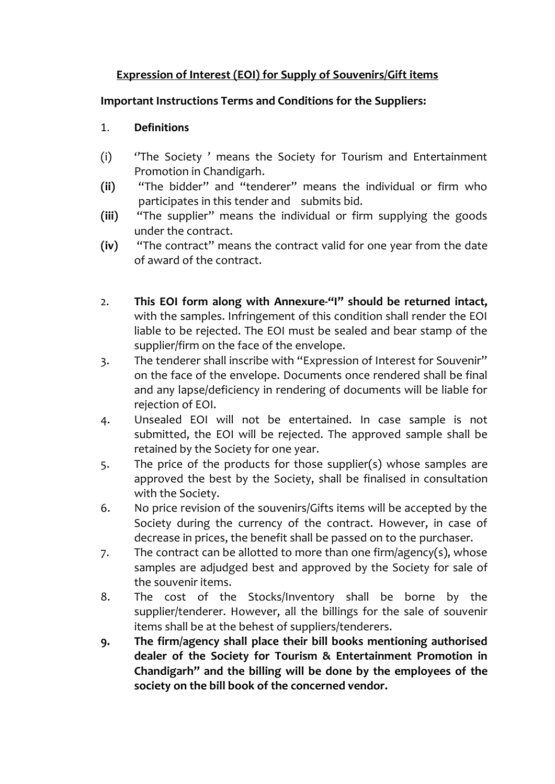# **Expression of Interest (EOI) for Supply of Souvenirs/Gift items**

# **Important Instructions Terms and Conditions for the Suppliers:**

#### 1. **Definitions**

- (i) ''The Society ' means the Society for Tourism and Entertainment Promotion in Chandigarh.
- **(ii)** "The bidder'' and "tenderer" means the individual or firm who participates in this tender and submits bid.
- **(iii)** "The supplier" means the individual or firm supplying the goods under the contract.
- **(iv)** "The contract" means the contract valid for one year from the date of award of the contract.
- 2. **This EOI form along with Annexure-"I" should be returned intact,**  with the samples. Infringement of this condition shall render the EOI liable to be rejected. The EOI must be sealed and bear stamp of the supplier/firm on the face of the envelope.
- 3. The tenderer shall inscribe with "Expression of Interest for Souvenir" on the face of the envelope. Documents once rendered shall be final and any lapse/deficiency in rendering of documents will be liable for rejection of EOI.
- 4. Unsealed EOI will not be entertained. In case sample is not submitted, the EOI will be rejected. The approved sample shall be retained by the Society for one year.
- 5. The price of the products for those supplier(s) whose samples are approved the best by the Society, shall be finalised in consultation with the Society.
- 6. No price revision of the souvenirs/Gifts items will be accepted by the Society during the currency of the contract. However, in case of decrease in prices, the benefit shall be passed on to the purchaser.
- 7. The contract can be allotted to more than one firm/agency(s), whose samples are adjudged best and approved by the Society for sale of the souvenir items.
- 8. The cost of the Stocks/Inventory shall be borne by the supplier/tenderer. However, all the billings for the sale of souvenir items shall be at the behest of suppliers/tenderers.
- **9. The firm/agency shall place their bill books mentioning authorised dealer of the Society for Tourism & Entertainment Promotion in Chandigarh" and the billing will be done by the employees of the society on the bill book of the concerned vendor.**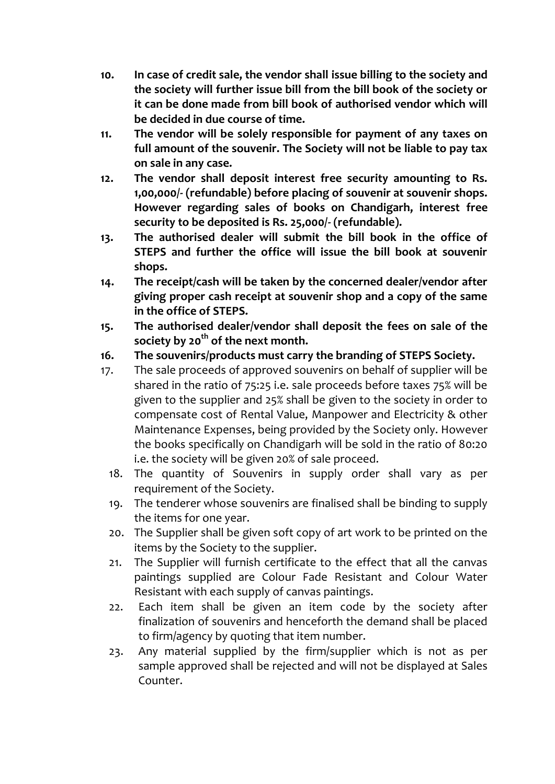- **10. In case of credit sale, the vendor shall issue billing to the society and the society will further issue bill from the bill book of the society or it can be done made from bill book of authorised vendor which will be decided in due course of time.**
- **11. The vendor will be solely responsible for payment of any taxes on full amount of the souvenir. The Society will not be liable to pay tax on sale in any case.**
- **12. The vendor shall deposit interest free security amounting to Rs. 1,00,000/- (refundable) before placing of souvenir at souvenir shops. However regarding sales of books on Chandigarh, interest free security to be deposited is Rs. 25,000/- (refundable).**
- **13. The authorised dealer will submit the bill book in the office of STEPS and further the office will issue the bill book at souvenir shops.**
- **14. The receipt/cash will be taken by the concerned dealer/vendor after giving proper cash receipt at souvenir shop and a copy of the same in the office of STEPS.**
- **15. The authorised dealer/vendor shall deposit the fees on sale of the society by 20 th of the next month.**
- **16. The souvenirs/products must carry the branding of STEPS Society.**
- 17. The sale proceeds of approved souvenirs on behalf of supplier will be shared in the ratio of 75:25 i.e. sale proceeds before taxes 75% will be given to the supplier and 25% shall be given to the society in order to compensate cost of Rental Value, Manpower and Electricity & other Maintenance Expenses, being provided by the Society only. However the books specifically on Chandigarh will be sold in the ratio of 80:20 i.e. the society will be given 20% of sale proceed.
	- 18. The quantity of Souvenirs in supply order shall vary as per requirement of the Society.
	- 19. The tenderer whose souvenirs are finalised shall be binding to supply the items for one year.
	- 20. The Supplier shall be given soft copy of art work to be printed on the items by the Society to the supplier.
	- 21. The Supplier will furnish certificate to the effect that all the canvas paintings supplied are Colour Fade Resistant and Colour Water Resistant with each supply of canvas paintings.
	- 22. Each item shall be given an item code by the society after finalization of souvenirs and henceforth the demand shall be placed to firm/agency by quoting that item number.
	- 23. Any material supplied by the firm/supplier which is not as per sample approved shall be rejected and will not be displayed at Sales Counter.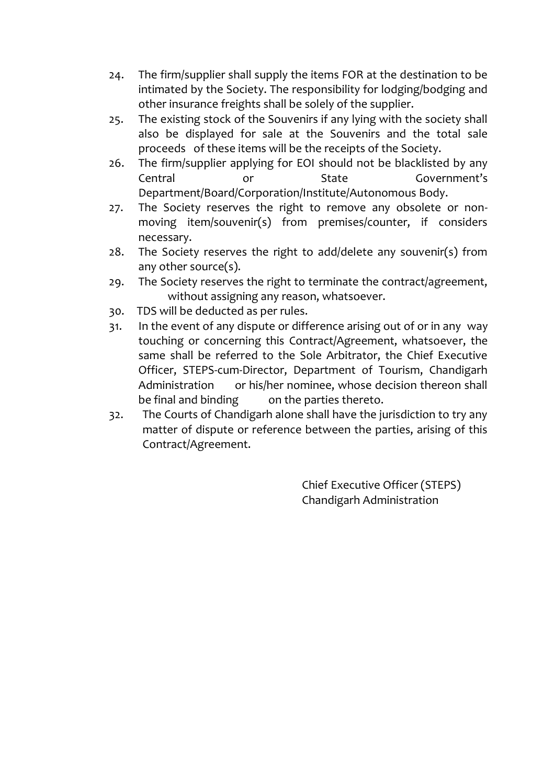- 24. The firm/supplier shall supply the items FOR at the destination to be intimated by the Society. The responsibility for lodging/bodging and other insurance freights shall be solely of the supplier.
- 25. The existing stock of the Souvenirs if any lying with the society shall also be displayed for sale at the Souvenirs and the total sale proceeds of these items will be the receipts of the Society.
- 26. The firm/supplier applying for EOI should not be blacklisted by any Central or State Government's Department/Board/Corporation/Institute/Autonomous Body.
- 27. The Society reserves the right to remove any obsolete or nonmoving item/souvenir(s) from premises/counter, if considers necessary.
- 28. The Society reserves the right to add/delete any souvenir(s) from any other source(s).
- 29. The Society reserves the right to terminate the contract/agreement, without assigning any reason, whatsoever.
- 30. TDS will be deducted as per rules.
- 31. In the event of any dispute or difference arising out of or in any way touching or concerning this Contract/Agreement, whatsoever, the same shall be referred to the Sole Arbitrator, the Chief Executive Officer, STEPS-cum-Director, Department of Tourism, Chandigarh Administration or his/her nominee, whose decision thereon shall be final and binding on the parties thereto.
- 32. The Courts of Chandigarh alone shall have the jurisdiction to try any matter of dispute or reference between the parties, arising of this Contract/Agreement.

Chief Executive Officer (STEPS) Chandigarh Administration